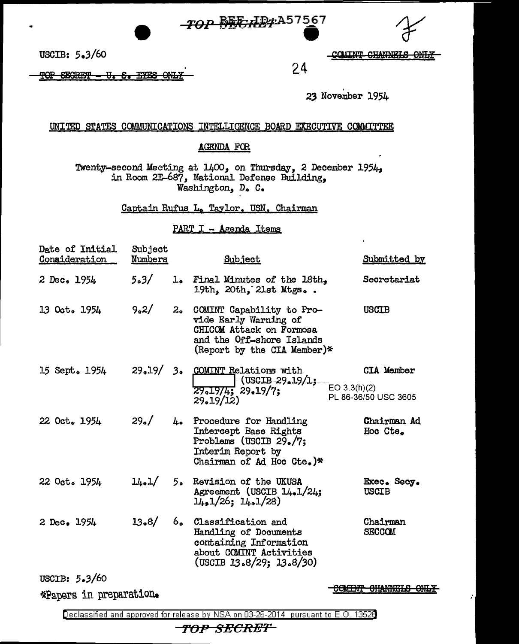



S. EYES TOP SECRET ₩  $-\Theta$ NH COMINT CHANNELS ONLY

23 November 1954

24

UNITED STATES COMMUNICATIONS INTELLIGENCE BOARD EXECUTIVE COMMITTEE

## **AGENDA FOR**

Twenty-second Mecting at 1400, on Thursday, 2 December 1954, in Room 2E-687, National Defense Building, Washington, D. C.

Captain Rufus L. Taylor. USN. Chairman

PART I - Agenda Items

| Date of Initial<br>Consideration | Subject<br>Numbers |     | <b>Subject</b>                                                                                                                                                                                                                                                                                                                                                                                                                                                |              | Submitted by                              |
|----------------------------------|--------------------|-----|---------------------------------------------------------------------------------------------------------------------------------------------------------------------------------------------------------------------------------------------------------------------------------------------------------------------------------------------------------------------------------------------------------------------------------------------------------------|--------------|-------------------------------------------|
| 2 Dec. 1954                      | 5.3/               | 1.  | Final Minutes of the 18th.<br>19th, 20th, 21st Mtgs                                                                                                                                                                                                                                                                                                                                                                                                           |              | Secretariat                               |
| 13 Oct. 1954                     | 9,2/               |     | 2. COMINT Capability to Pro-<br>vide Early Warning of<br>CHICOM Attack on Formosa<br>and the Off-shore Islands<br>(Report by the CIA Member)*                                                                                                                                                                                                                                                                                                                 |              | <b>USCIB</b>                              |
| 15 Sept. 1954                    |                    |     | 29.19/ 3. COMINT Relations with<br>$\left(-\frac{1}{2} \times 19/1, \frac{1}{2} \times 19/1, \frac{1}{2} \times 19/1, \frac{1}{2} \times 19/1, \frac{1}{2} \times 19/1, \frac{1}{2} \times 19/1, \frac{1}{2} \times 19/1, \frac{1}{2} \times 19/1, \frac{1}{2} \times 19/1, \frac{1}{2} \times 19/1, \frac{1}{2} \times 19/1, \frac{1}{2} \times 19/1, \frac{1}{2} \times 19/1, \frac{1}{2} \times 19/1, \frac{1}{2}$<br>$29.19/4$ ; $29.19/7$ ;<br>29.19/12) | EO 3.3(h)(2) | <b>CIA Member</b><br>PL 86-36/50 USC 3605 |
| 22 Oct. 1954                     | 29. /              | 4.1 | Procedure for Handling<br>Intercept Base Rights<br>Problems (USCIB 29./7;<br>Interim Report by<br>Chairman of Ad Hoc Cte.)*                                                                                                                                                                                                                                                                                                                                   |              | Chairman Ad<br>Hoc Cte.                   |
| 22 Oct. 1954                     | $\frac{1}{4}$ . 5. |     | Revision of the UKUSA<br>Agreement (USCIB 14.1/24;<br>$1\overline{\mu}_*1/26$ ; $1\overline{\mu}_*1/28$ )                                                                                                                                                                                                                                                                                                                                                     |              | Exec. Secy.<br><b>USCIB</b>               |
| 2 Dec. 1954                      | 13.8/              | 6.  | Classification and<br>Handling of Documents<br>containing Information<br>about COMINT Activities<br>(USCIB 13.8/29; 13.8/30)                                                                                                                                                                                                                                                                                                                                  |              | Chairman<br><b>SECCOM</b>                 |
| USCIB: $5-3/60$                  |                    |     |                                                                                                                                                                                                                                                                                                                                                                                                                                                               |              |                                           |

\*Papers in preparation.

**COMINT CHANNELS ONLY** 

Ż,

Declassified and approved for release by NSA on 03-26-2014 pursuant to E.O. 13528

TOP SECRET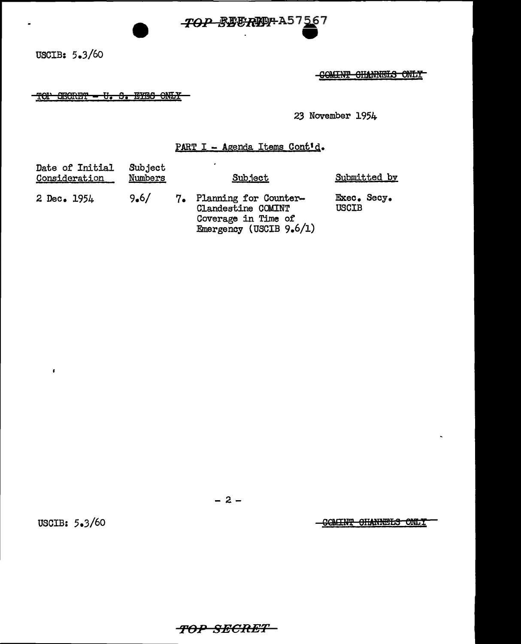

COMINT CHANNELS ONLY

TOP SECRET - U. S. EYES ONLY

23 November 1954

## PART I - Agenda Items Cont'd.

| Date of Initial<br><u>Consideration</u> | Subject<br>Numbers | Subject                                                                                             |                             | Submitted by |
|-----------------------------------------|--------------------|-----------------------------------------------------------------------------------------------------|-----------------------------|--------------|
| 2 Dec. 1954                             | 9.6/               | 7. Planning for Counter-<br>Clandestine COMINT<br>Coverage in Time of<br>Emergency (USCIB $9.6/1$ ) | Exec. Secy.<br><b>USCIB</b> |              |

 $-2-$ 

USCIB: 5.3/60

 $\pmb{\epsilon}$ 

COMINT CHANNELS ONLY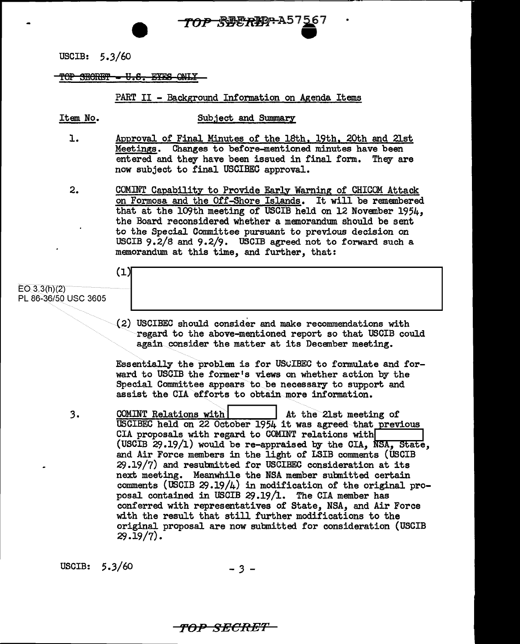

## $\textcolor{red}{\text{TOP}\text{ -SECHEP}\text{ -} \text{--}\text{U.E.}\text{ -} \text{EXES}\text{ -} \text{ONLY}}$

## PART II - Background Information on Agenda Items

Item No. Sub.ject and Summary

- l. Approval of Final Minutes of the lSth, 19th, 20th and 21st Meetings. Changes to before-mentioned minutes have been entered and they have been issued in final form. They are now subject to final USCIBEC approval.
- 2. COMINT Capability to Provide Early Warning of CHICOM Attack on Formosa and the Off-Shore Islands. It will be remembered that at the 109th meeting of USCIB held on 12 November 1954, the Board reconsidered whether a memorandum should be sent to the Special Committee pursuant to previous decision on USCIB 9.2/8 and 9.2/9. USCIB agreed not to forward such a memorandum at this time, and further, that:

# $(1)$

### $EO 3.3(h)(2)$ PL 86-36/50 USC 3605

(2) USCIBEC should consider and make recommendations with regard to the above-mentioned report so that USCIB could again consider the matter at its December meeting.

Essentially the problem is for USCIBEC to formulate and forward to USCIB the former's views on whether action by the Special Committee appears to be necessary to support and assist the CIA efforts to obtain more information.

3. COMINT Relations with  $\overline{\phantom{a}}$  At the 21st meeting of USCIBEC held on 22 October 1954 it was agreed that previous<br>CIA proposals with regard to COMINT relations with CIA proposals with regard to COMINT relations with (USCIB 29.19/1) would be re-appraised by the CIA, *NSA*, State, and Air Force members in the light of LSIB comments (USCIB  $29.19/7$ ) and resubmitted for USCIBEC consideration at its next. meeting. Meanwhile the NSA member subnitted certain comments (USCIB  $29.19/4$ ) in modification of the original proposal contained in USCIB 29.19/1. The CIA member has conferred with representatives of State, NSA, and Air Force with the result that still further modifications to the original proposal are now submitted for consideration (USCIB  $29.19/7$ .

USCIB:  $5.3/60$   $-3$   $-$ 

TOP SECRE'F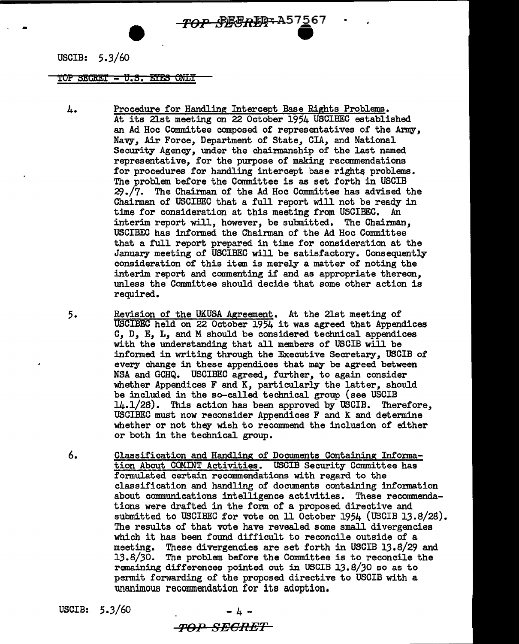# TOP SECRET A57567

USCIB: 5.3/60

...

TOP SECRET - U.S. EYES ONLY

- A. Procedure for Handling Intercept Base Rights Problems. At its 21st meeting on 22 October 1954 USCIBEC established an Ad Hoc Committee composed of representatives of the Army, Navy, Air Force, Department of' State, CIA, and National Security Agency, under the chairmanship of the last named representative, for the purpose of making recommendations for procedures for handling intercept base rights problems. The problem before the Committee is as set forth in USCIB  $29.77.$  The Chairman of the Ad Hoc Committee has advised the Chairman of' USCIBEC that a full report will not be ready in time for consideration at this meeting from USCIBEC. An interim report will, however, be submitted. The Chairman, USCIBEC has informed the Chairman of the Ad Hoc Committee that a full report prepared in time for consideration at the January meeting of USCIBEC will be satisfactory. Consequently consideration of this item is merely a matter of noting the interim report and commenting if and as appropriate thereon, unless the Committee should decide that some other action is required.
- 5. Revision of the UKUSA Agreement. At the 21st meeting of' USCIBEC held on 22 October 1954 it was agreed that Appendices c, D, E, L, and M should be considered technical appendices with the understanding that all members of USCIB will be informed in writing through the Executive Secretary, USCIB of every change in these appendices that may be agreed between NSA and GCHQ. USCIBEC agreed, further, to again consider whether Appendices F and K, particularly the latter, should be included in the so-called technical group (see USCIB 14.1/28). This action has been approved by USCIB. Therefore, USCIBEC must now reconsider Appendices F and K and determine whether or not they wish to recommend the inclusion of either or both in the technical group.
- 6. Classification and Handling of Documents Containing Information About COMINT Activities. USCIB Security Committee has formulated certain recommendations with regard to the classification and handling of documents containing information about communications intelligence activities. These recommendations were drafted in the form of a proposed directive and submitted to USCIBEC for vote on 11 October 1954 (USCIB 13.8/28). The results of that vote have revealed some small divergencies which it has been found difficult to reconcile outside of a meeting. These divergencies are set forth in USCIB 13.8/29 and 13.8/30. The problem before the Committee is to reconcile the remaining differences pointed out in USCIB 13.8/30 so as to permit forwarding of the proposed directive to USCIB with a unanimous recommendation for its adoption.

USCIB:  $5.3/60$ 

TOP SECRET